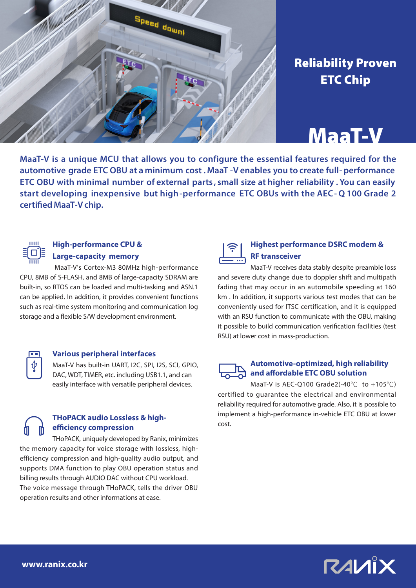

## Reliability Proven ETC Chip

## MaaT-V

**MaaT-V is a unique MCU that allows you to configure the essential features required for the automotive grade ETC OBU at a minimum cost . MaaT -V enables you to create full- performance ETC OBU with minimal number of external parts , small size at higher reliability . You can easily start developing inexpensive but high-performance ETC OBUs with the AEC- Q 100 Grade 2 certified MaaT-Vchip.**



### **High-performance CPU & Large-capacity memory**

 MaaT-V's Cortex-M3 80MHz high-performance CPU, 8MB of S-FLASH, and 8MB of large-capacity SDRAM are built-in, so RTOS can be loaded and multi-tasking and ASN.1 can be applied. In addition, it provides convenient functions such as real-time system monitoring and communication log storage and a flexible S/W development environment.



#### **Various peripheral interfaces**

MaaT-V has built-in UART, I2C, SPI, I2S, SCI, GPIO, DAC, WDT, TIMER, etc. including USB1.1, and can easily interface with versatile peripheral devices.

### **THoPACK audio Lossless & high-**<br>
cost. **efficiency compression**

THoPACK, uniquely developed by Ranix, minimizes the memory capacity for voice storage with lossless, highefficiency compression and high-quality audio output, and supports DMA function to play OBU operation status and billing results through AUDIO DAC without CPU workload. The voice message through THoPACK, tells the driver OBU operation results and other informations at ease.



#### **Highest performance DSRC modem & RF transceiver**

MaaT-V receives data stably despite preamble loss and severe duty change due to doppler shift and multipath fading that may occur in an automobile speeding at 160 km . In addition, it supports various test modes that can be conveniently used for ITSC certification, and it is equipped with an RSU function to communicate with the OBU, making it possible to build communication verification facilities (test RSU) at lower cost in mass-production.

#### **Automotive-optimized, high reliability and affordable ETC OBU solution**

MaaT-V is AEC-Q100 Grade2(-40℃ to +105℃) certified to guarantee the electrical and environmental reliability required for automotive grade. Also, it is possible to implement a high-performance in-vehicle ETC OBU at lower